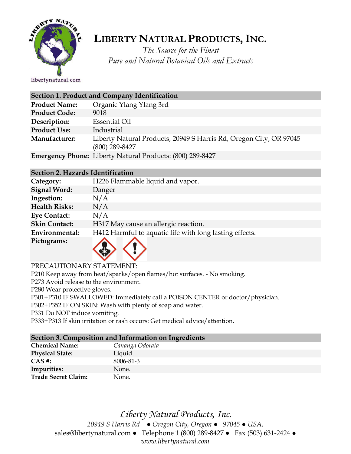

# **LIBERTY NATURAL PRODUCTS,INC.**

*The Source for the Finest Pure and Natural Botanical Oils and Extracts*

| <b>Section 1. Product and Company Identification</b> |                                                                                        |  |
|------------------------------------------------------|----------------------------------------------------------------------------------------|--|
| <b>Product Name:</b>                                 | Organic Ylang Ylang 3rd                                                                |  |
| <b>Product Code:</b>                                 | 9018                                                                                   |  |
| Description:                                         | <b>Essential Oil</b>                                                                   |  |
| <b>Product Use:</b>                                  | Industrial                                                                             |  |
| Manufacturer:                                        | Liberty Natural Products, 20949 S Harris Rd, Oregon City, OR 97045<br>$(800)$ 289-8427 |  |
|                                                      | <b>Emergency Phone:</b> Liberty Natural Products: (800) 289-8427                       |  |

#### **Section 2. Hazards Identification**

| Category:            | H226 Flammable liquid and vapor.                        |
|----------------------|---------------------------------------------------------|
| <b>Signal Word:</b>  | Danger                                                  |
| Ingestion:           | N/A                                                     |
| <b>Health Risks:</b> | N/A                                                     |
| <b>Eye Contact:</b>  | N/A                                                     |
| <b>Skin Contact:</b> | H317 May cause an allergic reaction.                    |
| Environmental:       | H412 Harmful to aquatic life with long lasting effects. |
| Pictograms:          |                                                         |

PRECAUTIONARY STATEMENT:

P210 Keep away from heat/sparks/open flames/hot surfaces. - No smoking.

P273 Avoid release to the environment.

P280 Wear protective gloves.

P301+P310 IF SWALLOWED: Immediately call a POISON CENTER or doctor/physician.

P302+P352 IF ON SKIN: Wash with plenty of soap and water.

P331 Do NOT induce vomiting.

P333+P313 If skin irritation or rash occurs: Get medical advice/attention.

### **Section 3. Composition and Information on Ingredients**

| <b>Chemical Name:</b>  | Cananga Odorata |
|------------------------|-----------------|
| <b>Physical State:</b> | Liquid.         |
| $CAS \#$ :             | 8006-81-3       |
| Impurities:            | None.           |
| Trade Secret Claim:    | None.           |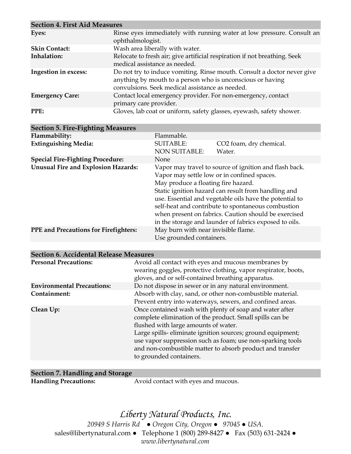| <b>Section 4. First Aid Measures</b> |                                                                                                                                                                                          |  |
|--------------------------------------|------------------------------------------------------------------------------------------------------------------------------------------------------------------------------------------|--|
| Eyes:                                | Rinse eyes immediately with running water at low pressure. Consult an<br>ophthalmologist.                                                                                                |  |
| <b>Skin Contact:</b>                 | Wash area liberally with water.                                                                                                                                                          |  |
| Inhalation:                          | Relocate to fresh air; give artificial respiration if not breathing. Seek<br>medical assistance as needed.                                                                               |  |
| Ingestion in excess:                 | Do not try to induce vomiting. Rinse mouth. Consult a doctor never give<br>anything by mouth to a person who is unconscious or having<br>convulsions. Seek medical assistance as needed. |  |
| <b>Emergency Care:</b>               | Contact local emergency provider. For non-emergency, contact<br>primary care provider.                                                                                                   |  |
| PPE:                                 | Gloves, lab coat or uniform, safety glasses, eyewash, safety shower.                                                                                                                     |  |

| <b>Section 5. Fire-Fighting Measures</b>                                                                        |                                                                                                                                                                                                                                                                                                                                                                                                                                        |  |
|-----------------------------------------------------------------------------------------------------------------|----------------------------------------------------------------------------------------------------------------------------------------------------------------------------------------------------------------------------------------------------------------------------------------------------------------------------------------------------------------------------------------------------------------------------------------|--|
| Flammability:<br>Flammable.                                                                                     |                                                                                                                                                                                                                                                                                                                                                                                                                                        |  |
| <b>Extinguishing Media:</b><br><b>SUITABLE:</b>                                                                 | CO <sub>2</sub> foam, dry chemical.                                                                                                                                                                                                                                                                                                                                                                                                    |  |
| <b>NON SUITABLE:</b>                                                                                            | Water.                                                                                                                                                                                                                                                                                                                                                                                                                                 |  |
| <b>Special Fire-Fighting Procedure:</b><br>None                                                                 |                                                                                                                                                                                                                                                                                                                                                                                                                                        |  |
| <b>Unusual Fire and Explosion Hazards:</b>                                                                      | Vapor may travel to source of ignition and flash back.<br>Vapor may settle low or in confined spaces.<br>May produce a floating fire hazard.<br>Static ignition hazard can result from handling and<br>use. Essential and vegetable oils have the potential to<br>self-heat and contribute to spontaneous combustion<br>when present on fabrics. Caution should be exercised<br>in the storage and launder of fabrics exposed to oils. |  |
| May burn with near invisible flame.<br><b>PPE</b> and Precautions for Firefighters:<br>Use grounded containers. |                                                                                                                                                                                                                                                                                                                                                                                                                                        |  |
|                                                                                                                 |                                                                                                                                                                                                                                                                                                                                                                                                                                        |  |

| <b>Personal Precautions:</b>      | Avoid all contact with eyes and mucous membranes by<br>wearing goggles, protective clothing, vapor respirator, boots,<br>gloves, and or self-contained breathing apparatus.                                                                                                                                                                                                     |
|-----------------------------------|---------------------------------------------------------------------------------------------------------------------------------------------------------------------------------------------------------------------------------------------------------------------------------------------------------------------------------------------------------------------------------|
| <b>Environmental Precautions:</b> | Do not dispose in sewer or in any natural environment.                                                                                                                                                                                                                                                                                                                          |
| Containment:                      | Absorb with clay, sand, or other non-combustible material.<br>Prevent entry into waterways, sewers, and confined areas.                                                                                                                                                                                                                                                         |
| Clean Up:                         | Once contained wash with plenty of soap and water after<br>complete elimination of the product. Small spills can be<br>flushed with large amounts of water.<br>Large spills-eliminate ignition sources; ground equipment;<br>use vapor suppression such as foam; use non-sparking tools<br>and non-combustible matter to absorb product and transfer<br>to grounded containers. |

| Section 7. Handling and Storage |                                     |
|---------------------------------|-------------------------------------|
| <b>Handling Precautions:</b>    | Avoid contact with eyes and mucous. |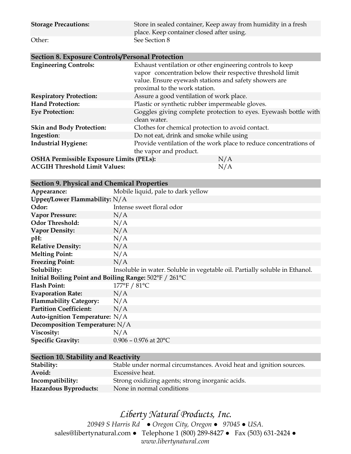| <b>Storage Precautions:</b> | Store in sealed container, Keep away from humidity in a fresh<br>place. Keep container closed after using. |
|-----------------------------|------------------------------------------------------------------------------------------------------------|
| Other:                      | See Section 8                                                                                              |

| <b>Section 8. Exposure Controls/Personal Protection</b> |                                                                                                                                                                                                                   |
|---------------------------------------------------------|-------------------------------------------------------------------------------------------------------------------------------------------------------------------------------------------------------------------|
| <b>Engineering Controls:</b>                            | Exhaust ventilation or other engineering controls to keep<br>vapor concentration below their respective threshold limit<br>value. Ensure eyewash stations and safety showers are<br>proximal to the work station. |
| <b>Respiratory Protection:</b>                          | Assure a good ventilation of work place.                                                                                                                                                                          |
| <b>Hand Protection:</b>                                 | Plastic or synthetic rubber impermeable gloves.                                                                                                                                                                   |
| <b>Eye Protection:</b>                                  | Goggles giving complete protection to eyes. Eyewash bottle with<br>clean water.                                                                                                                                   |
| <b>Skin and Body Protection:</b>                        | Clothes for chemical protection to avoid contact.                                                                                                                                                                 |
| Ingestion:                                              | Do not eat, drink and smoke while using                                                                                                                                                                           |
| <b>Industrial Hygiene:</b>                              | Provide ventilation of the work place to reduce concentrations of                                                                                                                                                 |
|                                                         | the vapor and product.                                                                                                                                                                                            |
| OSHA Permissible Exposure Limits (PELs):                | N/A                                                                                                                                                                                                               |
| <b>ACGIH Threshold Limit Values:</b>                    | N/A                                                                                                                                                                                                               |

|  |  |  |  | <b>Section 9. Physical and Chemical Properties</b> |
|--|--|--|--|----------------------------------------------------|
|--|--|--|--|----------------------------------------------------|

| occuon », i hydrai ana Chemical Froperneo              |                                                                             |  |  |
|--------------------------------------------------------|-----------------------------------------------------------------------------|--|--|
| Appearance:                                            | Mobile liquid, pale to dark yellow                                          |  |  |
| Upper/Lower Flammability: $N/A$                        |                                                                             |  |  |
| Odor:                                                  | Intense sweet floral odor                                                   |  |  |
| <b>Vapor Pressure:</b>                                 | N/A                                                                         |  |  |
| <b>Odor Threshold:</b>                                 | N/A                                                                         |  |  |
| <b>Vapor Density:</b>                                  | N/A                                                                         |  |  |
| pH:                                                    | N/A                                                                         |  |  |
| <b>Relative Density:</b>                               | N/A                                                                         |  |  |
| <b>Melting Point:</b>                                  | N/A                                                                         |  |  |
| <b>Freezing Point:</b>                                 | N/A                                                                         |  |  |
| Solubility:                                            | Insoluble in water. Soluble in vegetable oil. Partially soluble in Ethanol. |  |  |
| Initial Boiling Point and Boiling Range: 502°F / 261°C |                                                                             |  |  |
| <b>Flash Point:</b>                                    | 177°F / 81°C                                                                |  |  |
| <b>Evaporation Rate:</b>                               | N/A                                                                         |  |  |
| <b>Flammability Category:</b>                          | N/A                                                                         |  |  |
| <b>Partition Coefficient:</b>                          | N/A                                                                         |  |  |
| Auto-ignition Temperature: N/A                         |                                                                             |  |  |
| Decomposition Temperature: N/A                         |                                                                             |  |  |
| Viscosity:                                             | N/A                                                                         |  |  |
| <b>Specific Gravity:</b>                               | $0.906 - 0.976$ at 20°C                                                     |  |  |
|                                                        |                                                                             |  |  |

#### **Section 10. Stability and Reactivity**

| Stability:            | Stable under normal circumstances. Avoid heat and ignition sources. |
|-----------------------|---------------------------------------------------------------------|
| Avoid:                | Excessive heat.                                                     |
| Incompatibility:      | Strong oxidizing agents; strong inorganic acids.                    |
| Hazardous Byproducts: | None in normal conditions                                           |

## *Liberty Natural Products, Inc.*

*20949 S Harris Rd ● Oregon City, Oregon ● 97045 ● USA.*  sales@libertynatural.com *●* Telephone 1 (800) 289-8427 ● Fax (503) 631-2424 *● www.libertynatural.com*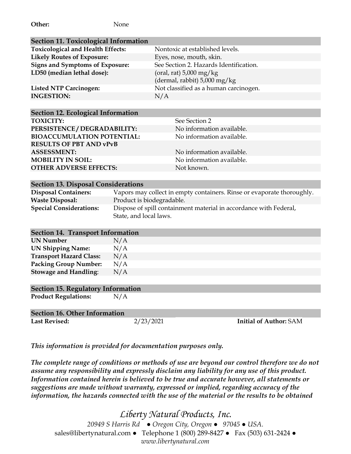| <b>Section 11. Toxicological Information</b> |                                                                   |
|----------------------------------------------|-------------------------------------------------------------------|
| <b>Toxicological and Health Effects:</b>     | Nontoxic at established levels.                                   |
| <b>Likely Routes of Exposure:</b>            | Eyes, nose, mouth, skin.                                          |
| <b>Signs and Symptoms of Exposure:</b>       | See Section 2. Hazards Identification.                            |
| LD50 (median lethal dose):                   | (oral, rat) $5,000 \text{ mg/kg}$<br>(dermal, rabbit) 5,000 mg/kg |
| <b>Listed NTP Carcinogen:</b>                | Not classified as a human carcinogen.                             |
| <b>INGESTION:</b>                            | N/A                                                               |
|                                              |                                                                   |

| <b>Section 12. Ecological Information</b> |                           |
|-------------------------------------------|---------------------------|
| <b>TOXICITY:</b>                          | See Section 2             |
| PERSISTENCE / DEGRADABILITY:              | No information available. |
| <b>BIOACCUMULATION POTENTIAL:</b>         | No information available. |
| <b>RESULTS OF PBT AND vPvB</b>            |                           |
| <b>ASSESSMENT:</b>                        | No information available. |
| <b>MOBILITY IN SOIL:</b>                  | No information available. |
| <b>OTHER ADVERSE EFFECTS:</b>             | Not known.                |
|                                           |                           |

| <b>Section 13. Disposal Considerations</b> |                                                                        |  |
|--------------------------------------------|------------------------------------------------------------------------|--|
| <b>Disposal Containers:</b>                | Vapors may collect in empty containers. Rinse or evaporate thoroughly. |  |
| <b>Waste Disposal:</b>                     | Product is biodegradable.                                              |  |
| <b>Special Considerations:</b>             | Dispose of spill containment material in accordance with Federal,      |  |
|                                            | State, and local laws.                                                 |  |

#### **Section 14. Transport Information**

| <b>UN Number</b>               | N/A |
|--------------------------------|-----|
| <b>UN Shipping Name:</b>       | N/A |
| <b>Transport Hazard Class:</b> | N/A |
| <b>Packing Group Number:</b>   | N/A |
| <b>Stowage and Handling:</b>   | N/A |

#### **Section 15. Regulatory Information**

**Product Regulations:** N/A

| <b>Section 16. Other Information</b> |           |                               |  |
|--------------------------------------|-----------|-------------------------------|--|
| <b>Last Revised:</b>                 | 2/23/2021 | <b>Initial of Author: SAM</b> |  |

*This information is provided for documentation purposes only.*

*The complete range of conditions or methods of use are beyond our control therefore we do not assume any responsibility and expressly disclaim any liability for any use of this product. Information contained herein is believed to be true and accurate however, all statements or suggestions are made without warranty, expressed or implied, regarding accuracy of the information, the hazards connected with the use of the material or the results to be obtained*